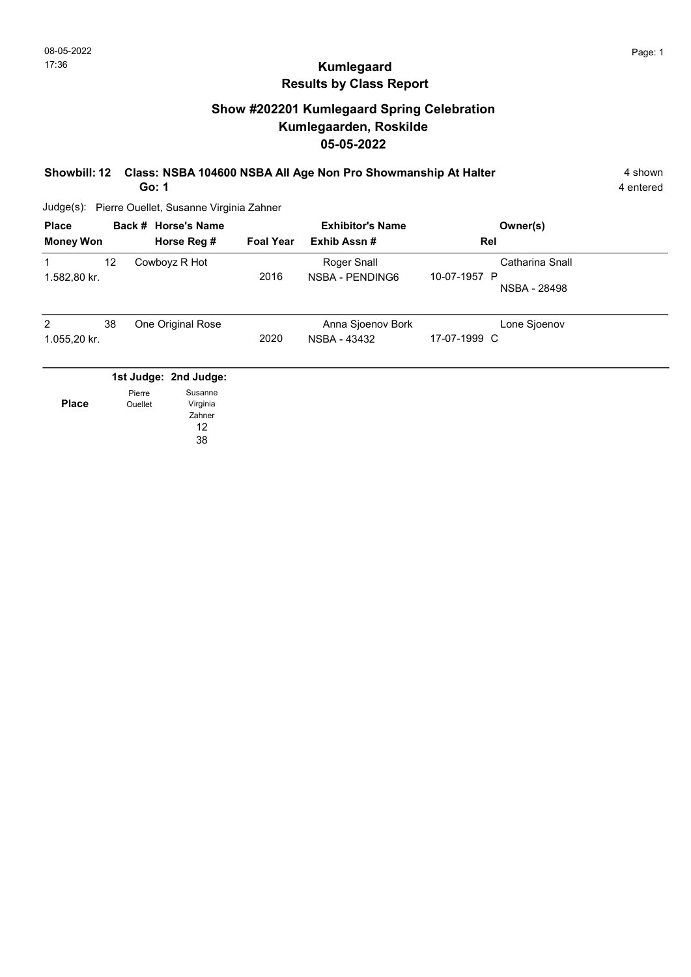## Show #202201 Kumlegaard Spring Celebration Kumlegaarden, Roskilde 05-05-2022

#### Showbill: 12 Class: NSBA 104600 NSBA All Age Non Pro Showmanship At Halter 4 shown Go: 1

Judge(s): Pierre Ouellet, Susanne Virginia Zahner

| <b>Place</b><br><b>Money Won</b> |    | Back # Horse's Name<br>Horse Reg # | <b>Foal Year</b> | <b>Exhibitor's Name</b><br>Exhib Assn# | Owner(s)<br>Rel                                 |  |
|----------------------------------|----|------------------------------------|------------------|----------------------------------------|-------------------------------------------------|--|
| 1.582,80 kr.                     | 12 | Cowboyz R Hot                      | 2016             | Roger Snall<br>NSBA - PENDING6         | Catharina Snall<br>10-07-1957 P<br>NSBA - 28498 |  |
| 2<br>1.055,20 kr.                | 38 | One Original Rose                  | 2020             | Anna Sjoenov Bork<br>NSBA - 43432      | Lone Sjoenov<br>17-07-1999 C                    |  |
|                                  |    | 1st Judge: 2nd Judge:              |                  |                                        |                                                 |  |

|              | Pierre  | Susanne  |
|--------------|---------|----------|
| <b>Place</b> | Ouellet | Virginia |
|              |         | Zahner   |
|              |         | 12       |
|              |         |          |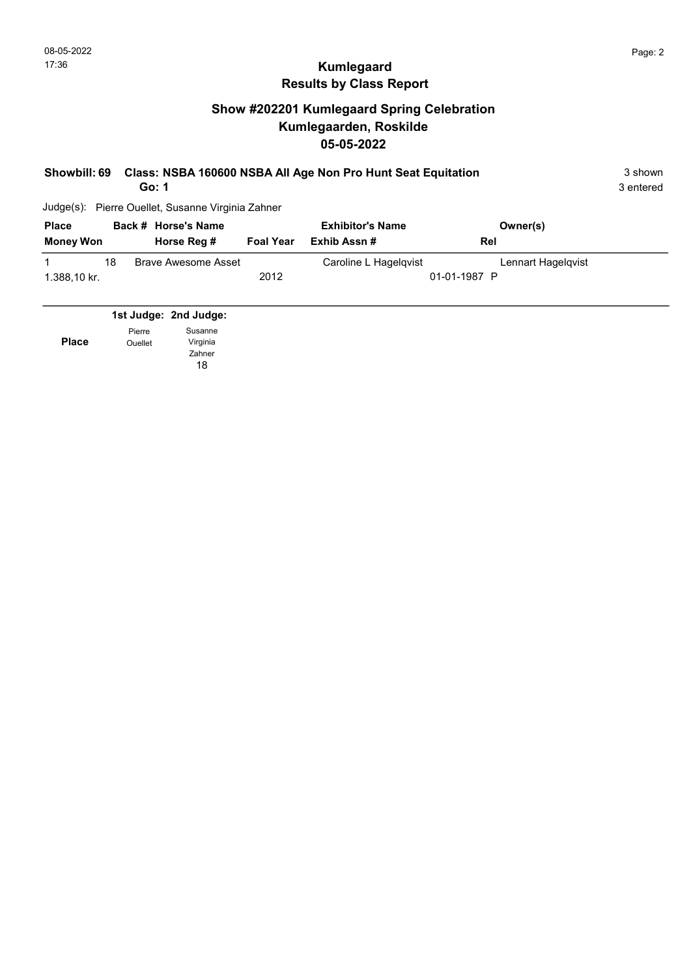## Show #202201 Kumlegaard Spring Celebration Kumlegaarden, Roskilde 05-05-2022

| <b>Showbill: 69</b> |    | Go: 1                                   |                  | Class: NSBA 160600 NSBA All Age Non Pro Hunt Seat Equitation |                    | 3 shown<br>3 entered |
|---------------------|----|-----------------------------------------|------------------|--------------------------------------------------------------|--------------------|----------------------|
| Judge(s):           |    | Pierre Ouellet, Susanne Virginia Zahner |                  |                                                              |                    |                      |
| <b>Place</b>        |    | Back # Horse's Name                     |                  | <b>Exhibitor's Name</b>                                      | Owner(s)           |                      |
| <b>Money Won</b>    |    | Horse Reg #                             | <b>Foal Year</b> | Exhib Assn#                                                  | Rel                |                      |
|                     | 18 | <b>Brave Awesome Asset</b>              |                  | Caroline L Hagelqvist                                        | Lennart Hagelgvist |                      |
| 1.388,10 kr.        |    |                                         | 2012             |                                                              | 01-01-1987 P       |                      |
|                     |    |                                         |                  |                                                              |                    |                      |
|                     |    | 1st Judge: 2nd Judge:                   |                  |                                                              |                    |                      |

Place Pierre Ouellet Susanne Virginia Zahner

18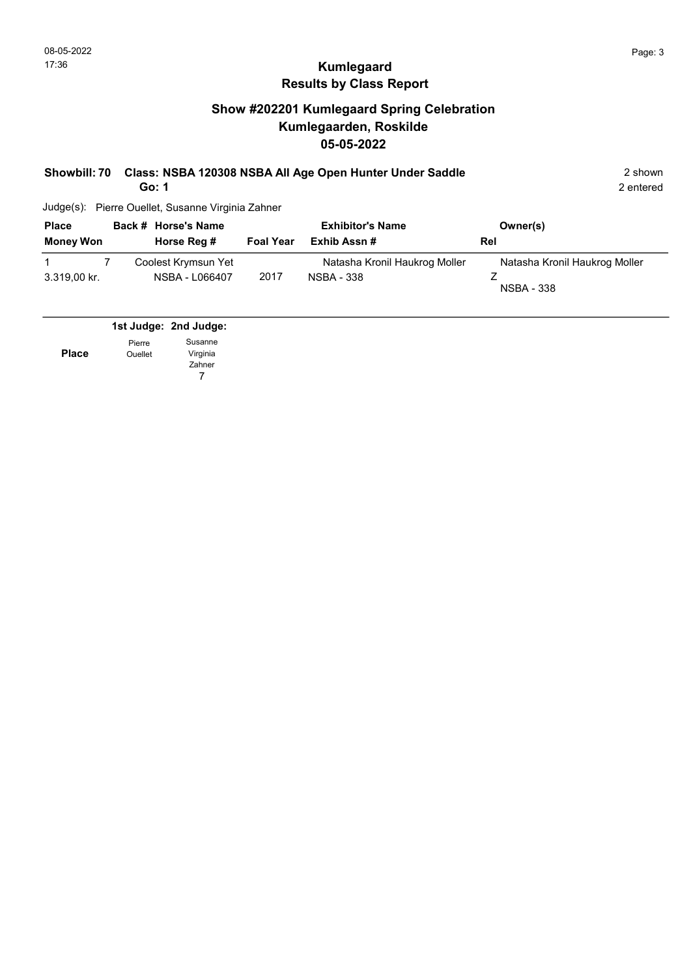### Show #202201 Kumlegaard Spring Celebration Kumlegaarden, Roskilde 05-05-2022

|  | Showbill: 70 Class: NSBA 120308 NSBA All Age Open Hunter Under Saddle | 2 shown |
|--|-----------------------------------------------------------------------|---------|
|--|-----------------------------------------------------------------------|---------|

Go: 1

Judge(s): Pierre Ouellet, Susanne Virginia Zahner

| <b>Place</b><br><b>Money Won</b> | Back # Horse's Name<br>Horse Reg # | <b>Foal Year</b> | <b>Exhibitor's Name</b><br>Exhib Assn# | Owner(s)<br>Rel               |
|----------------------------------|------------------------------------|------------------|----------------------------------------|-------------------------------|
|                                  | Coolest Krymsun Yet                |                  | Natasha Kronil Haukrog Moller          | Natasha Kronil Haukrog Moller |
| 3.319,00 kr.                     | NSBA - L066407                     | 2017             | <b>NSBA - 338</b>                      | <b>NSBA - 338</b>             |

1st Judge: 2nd Judge: Pierre Susanne

Ouellet

Place

7 Virginia Zahner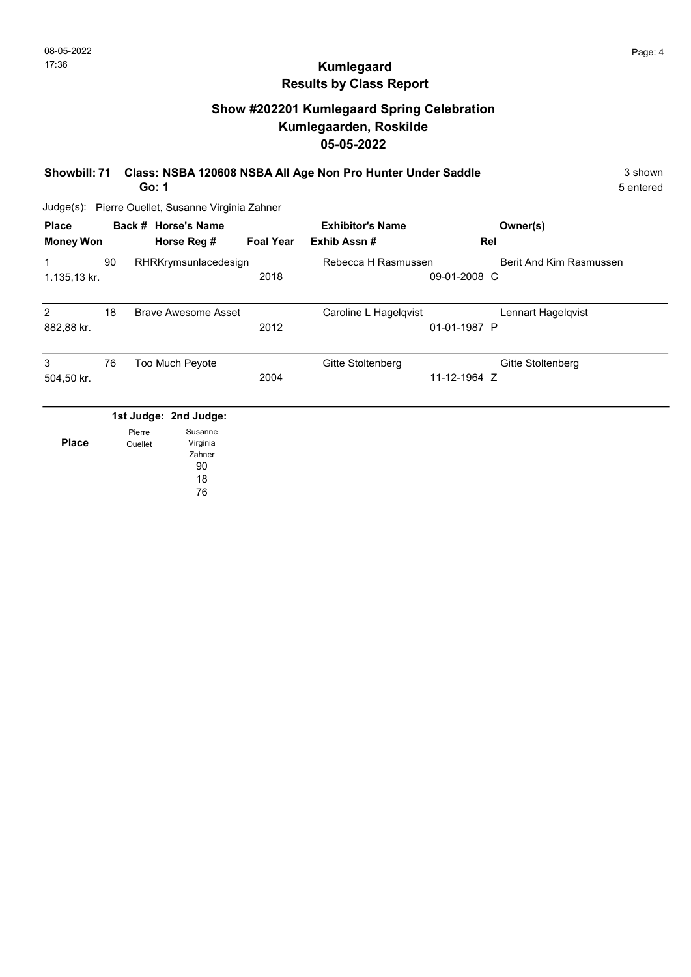## Show #202201 Kumlegaard Spring Celebration Kumlegaarden, Roskilde 05-05-2022

#### Showbill: 71 Class: NSBA 120608 NSBA All Age Non Pro Hunter Under Saddle 3 shown Go: 1

Judge(s): Pierre Ouellet, Susanne Virginia Zahner

| <b>Place</b><br><b>Money Won</b> |                   | Back # Horse's Name<br>Horse Reg # | <b>Foal Year</b> | <b>Exhibitor's Name</b><br>Exhib Assn# | Owner(s)<br>Rel         |
|----------------------------------|-------------------|------------------------------------|------------------|----------------------------------------|-------------------------|
| 1                                | 90                | RHRKrymsunlacedesign               |                  | Rebecca H Rasmussen                    | Berit And Kim Rasmussen |
| 1.135,13 kr.                     |                   |                                    | 2018             |                                        | 09-01-2008 C            |
| $\overline{2}$                   | 18                | <b>Brave Awesome Asset</b>         |                  | Caroline L Hagelqvist                  | Lennart Hagelqvist      |
| 882,88 kr.                       |                   |                                    | 2012             |                                        | 01-01-1987 P            |
| 3                                | 76                | Too Much Peyote                    |                  | Gitte Stoltenberg                      | Gitte Stoltenberg       |
| 504,50 kr.                       |                   |                                    | 2004             |                                        | 11-12-1964 Z            |
|                                  |                   | 1st Judge: 2nd Judge:              |                  |                                        |                         |
| <b>Place</b>                     | Pierre<br>Ouellet | Susanne<br>Virginia<br>Zahner      |                  |                                        |                         |

90 18 76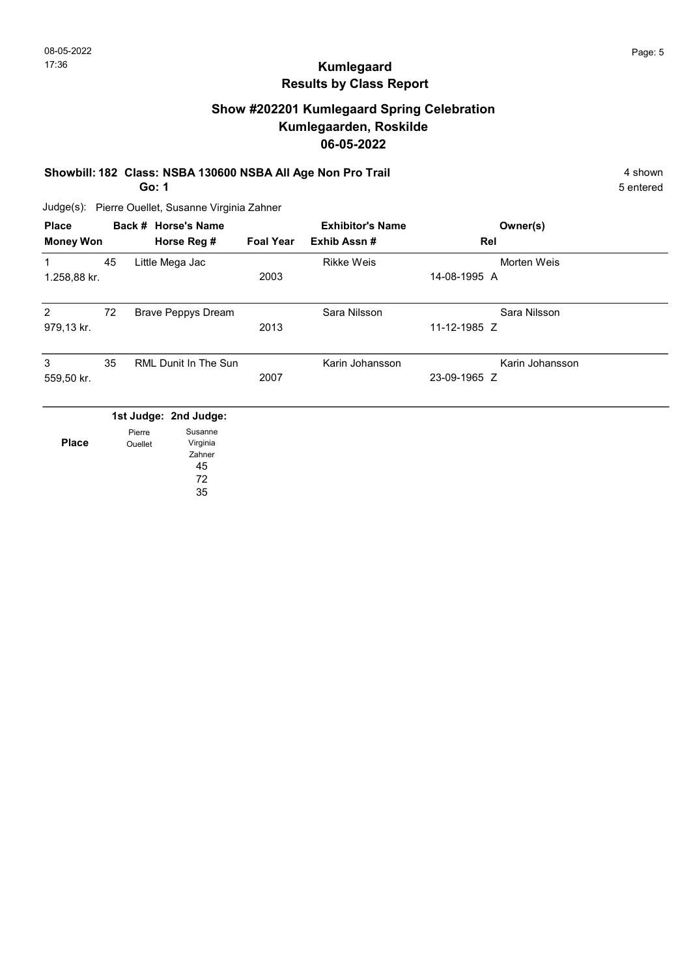## Show #202201 Kumlegaard Spring Celebration Kumlegaarden, Roskilde 06-05-2022

#### Showbill: 182 Class: NSBA 130600 NSBA All Age Non Pro Trail 4 Shown 4 Shown

Go: 1

5 entered

Judge(s): Pierre Ouellet, Susanne Virginia Zahner

| <b>Place</b><br><b>Money Won</b> |                   | Back # Horse's Name<br>Horse Reg # | <b>Foal Year</b> | <b>Exhibitor's Name</b><br>Exhib Assn# | Owner(s)<br>Rel |  |
|----------------------------------|-------------------|------------------------------------|------------------|----------------------------------------|-----------------|--|
|                                  | 45                | Little Mega Jac                    |                  | <b>Rikke Weis</b>                      | Morten Weis     |  |
| 1.258,88 kr.                     |                   |                                    | 2003             |                                        | 14-08-1995 A    |  |
| 2                                | 72                | <b>Brave Peppys Dream</b>          |                  | Sara Nilsson                           | Sara Nilsson    |  |
| 979,13 kr.                       |                   |                                    | 2013             |                                        | 11-12-1985 Z    |  |
| 3                                | 35                | RML Dunit In The Sun               |                  | Karin Johansson                        | Karin Johansson |  |
| 559,50 kr.                       |                   |                                    | 2007             |                                        | 23-09-1965 Z    |  |
|                                  |                   | 1st Judge: 2nd Judge:              |                  |                                        |                 |  |
| <b>Place</b>                     | Pierre<br>Ouellet | Susanne<br>Virginia                |                  |                                        |                 |  |

Ouellet

45 72 35

Zahner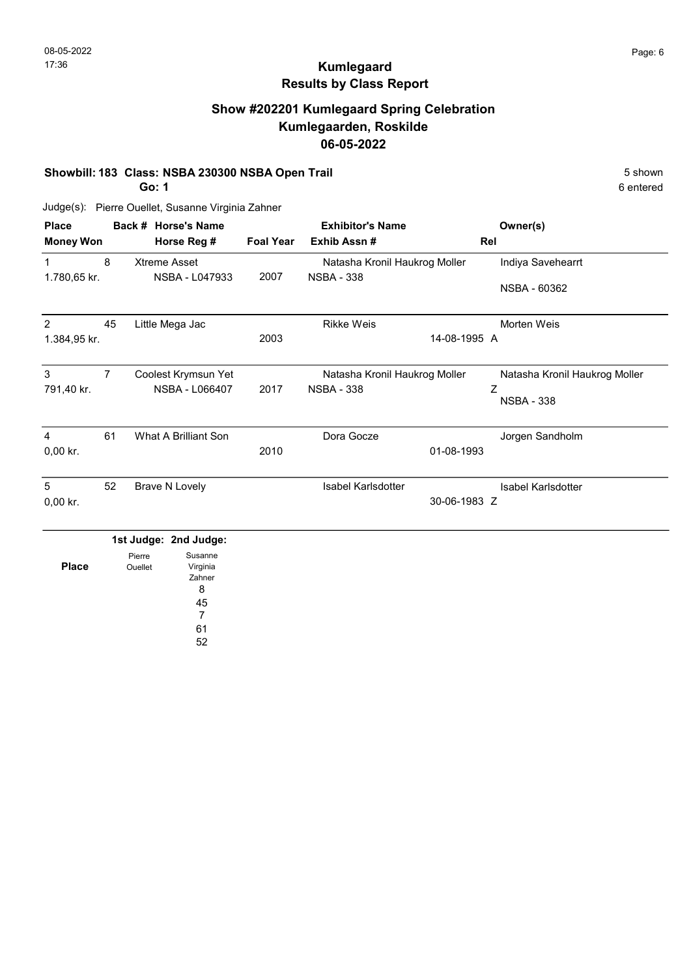## Show #202201 Kumlegaard Spring Celebration Kumlegaarden, Roskilde 06-05-2022

#### Showbill: 183 Class: NSBA 230300 NSBA Open Trail 5 Shown 5 Shown

Go: 1

6 entered

Judge(s): Pierre Ouellet, Susanne Virginia Zahner

| <b>Place</b><br><b>Money Won</b> |                | Back # Horse's Name<br>Horse Reg #                      | <b>Foal Year</b> | <b>Exhibitor's Name</b><br>Exhib Assn # | Owner(s)<br>Rel               |
|----------------------------------|----------------|---------------------------------------------------------|------------------|-----------------------------------------|-------------------------------|
| $\mathbf{1}$                     | 8              | <b>Xtreme Asset</b>                                     |                  | Natasha Kronil Haukrog Moller           | Indiya Savehearrt             |
| 1.780,65 kr.                     |                | NSBA - L047933                                          | 2007             | <b>NSBA - 338</b>                       | NSBA - 60362                  |
| 2                                | 45             | Little Mega Jac                                         |                  | <b>Rikke Weis</b>                       | Morten Weis                   |
| 1.384,95 kr.                     |                | 2003                                                    | 14-08-1995 A     |                                         |                               |
| 3                                | $\overline{7}$ | Coolest Krymsun Yet                                     |                  | Natasha Kronil Haukrog Moller           | Natasha Kronil Haukrog Moller |
| 791,40 kr.                       |                | NSBA - L066407                                          | 2017             | <b>NSBA - 338</b>                       | Ζ<br><b>NSBA - 338</b>        |
| 4                                | 61             | What A Brilliant Son                                    |                  | Dora Gocze                              | Jorgen Sandholm               |
| $0,00$ kr.                       |                |                                                         | 2010             |                                         | 01-08-1993                    |
| 5                                | 52             | <b>Brave N Lovely</b>                                   |                  | <b>Isabel Karlsdotter</b>               | Isabel Karlsdotter            |
| 0,00 kr.                         |                |                                                         |                  |                                         | 30-06-1983 Z                  |
|                                  |                | 1st Judge: 2nd Judge:                                   |                  |                                         |                               |
| <b>Place</b>                     |                | Susanne<br>Pierre<br>Virginia<br>Ouellet<br>Zahner<br>8 |                  |                                         |                               |

8 45 7

61

52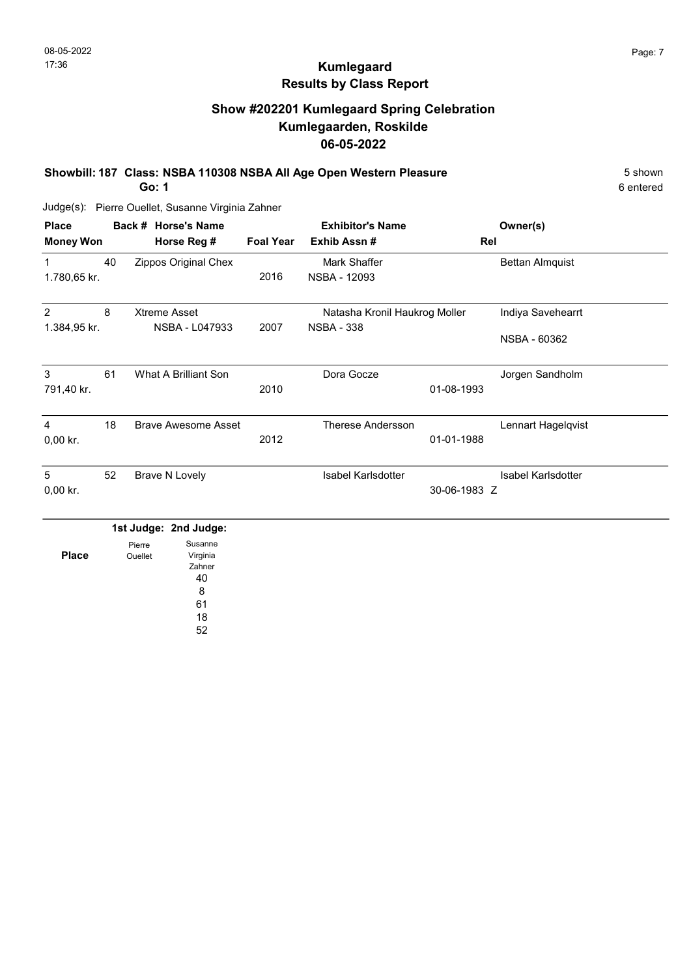## Show #202201 Kumlegaard Spring Celebration Kumlegaarden, Roskilde 06-05-2022

Showbill: 187 Class: NSBA 110308 NSBA All Age Open Western Pleasure 5 Shown

Go: 1

Judge(s): Pierre Ouellet, Susanne Virginia Zahner

| <b>Place</b>     |    | Back # Horse's Name                                                  |                  | <b>Exhibitor's Name</b>       |              | Owner(s)                  |  |
|------------------|----|----------------------------------------------------------------------|------------------|-------------------------------|--------------|---------------------------|--|
| <b>Money Won</b> |    | Horse Reg #                                                          | <b>Foal Year</b> | Exhib Assn#                   | Rel          |                           |  |
| $\mathbf{1}$     | 40 | Zippos Original Chex                                                 |                  | Mark Shaffer                  |              | <b>Bettan Almquist</b>    |  |
| 1.780,65 kr.     |    |                                                                      | 2016             | <b>NSBA - 12093</b>           |              |                           |  |
| 2                | 8  | <b>Xtreme Asset</b>                                                  |                  | Natasha Kronil Haukrog Moller |              | Indiya Savehearrt         |  |
| 1.384,95 kr.     |    | NSBA - L047933                                                       | 2007             | <b>NSBA - 338</b>             |              | NSBA - 60362              |  |
| 3                | 61 | What A Brilliant Son                                                 |                  | Dora Gocze                    |              | Jorgen Sandholm           |  |
| 791,40 kr.       |    |                                                                      | 2010             |                               | 01-08-1993   |                           |  |
| 4                | 18 | <b>Brave Awesome Asset</b>                                           |                  | <b>Therese Andersson</b>      |              | Lennart Hagelqvist        |  |
| 0,00 kr.         |    |                                                                      | 2012             |                               | 01-01-1988   |                           |  |
| 5                | 52 | <b>Brave N Lovely</b>                                                |                  | <b>Isabel Karlsdotter</b>     |              | <b>Isabel Karlsdotter</b> |  |
| $0,00$ kr.       |    |                                                                      |                  |                               | 30-06-1983 Z |                           |  |
|                  |    | 1st Judge: 2nd Judge:                                                |                  |                               |              |                           |  |
| <b>Place</b>     |    | Susanne<br>Pierre<br>Virginia<br>Ouellet<br>Zahner<br>40<br>$\Omega$ |                  |                               |              |                           |  |



52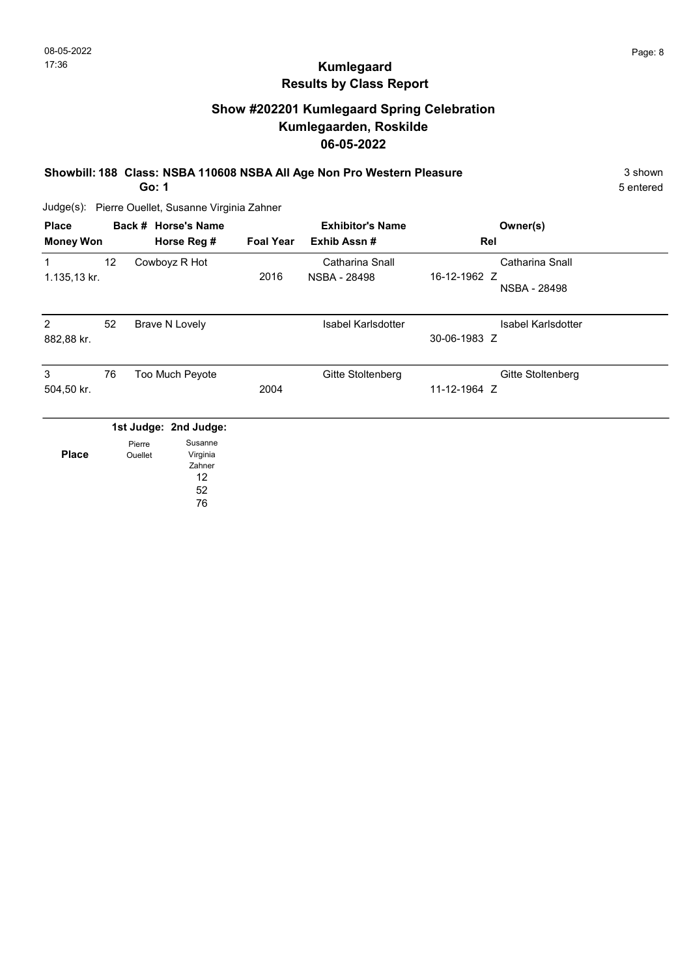## Show #202201 Kumlegaard Spring Celebration Kumlegaarden, Roskilde 06-05-2022

Showbill: 188 Class: NSBA 110608 NSBA All Age Non Pro Western Pleasure 3 Shown

Go: 1

Judge(s): Pierre Ouellet, Susanne Virginia Zahner

| <b>Place</b><br><b>Money Won</b> |                 |                   | Back # Horse's Name<br>Horse Reg #                                 | <b>Foal Year</b> | <b>Exhibitor's Name</b><br>Exhib Assn# | Owner(s)<br>Rel                                        |  |
|----------------------------------|-----------------|-------------------|--------------------------------------------------------------------|------------------|----------------------------------------|--------------------------------------------------------|--|
| 1<br>1.135,13 kr.                | 12 <sup>°</sup> |                   | Cowboyz R Hot                                                      | 2016             | Catharina Snall<br>NSBA - 28498        | Catharina Snall<br>16-12-1962 Z<br><b>NSBA - 28498</b> |  |
| $\overline{2}$<br>882,88 kr.     | 52              |                   | <b>Brave N Lovely</b>                                              |                  | <b>Isabel Karlsdotter</b>              | <b>Isabel Karlsdotter</b><br>30-06-1983 Z              |  |
| 3<br>504,50 kr.                  | 76              |                   | Too Much Peyote                                                    | 2004             | Gitte Stoltenberg                      | Gitte Stoltenberg<br>11-12-1964 Z                      |  |
| <b>Place</b>                     |                 | Pierre<br>Ouellet | 1st Judge: 2nd Judge:<br>Susanne<br>Virginia<br>Zahner<br>12<br>52 |                  |                                        |                                                        |  |

76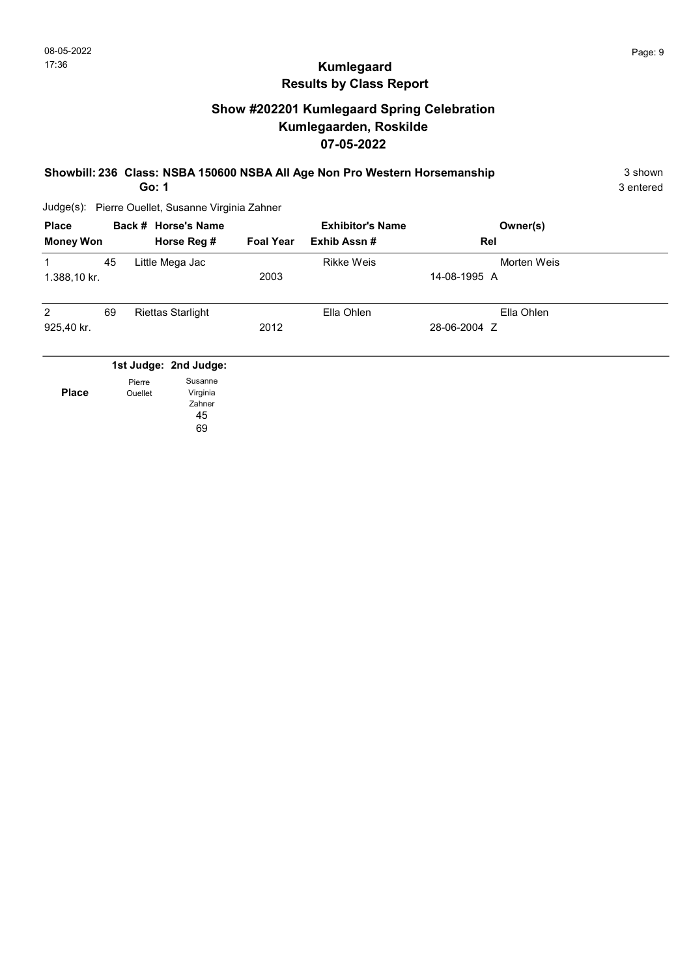## Show #202201 Kumlegaard Spring Celebration Kumlegaarden, Roskilde 07-05-2022

# Showbill: 236 Class: NSBA 150600 NSBA All Age Non Pro Western Horsemanship 3 Shown

Go: 1

Judge(s): Pierre Ouellet, Susanne Virginia Zahner

| <b>Place</b><br><b>Money Won</b> |    |                   | Back # Horse's Name<br>Horse Reg # | <b>Foal Year</b> | <b>Exhibitor's Name</b><br>Exhib Assn# | Owner(s)<br>Rel |  |
|----------------------------------|----|-------------------|------------------------------------|------------------|----------------------------------------|-----------------|--|
| 1                                | 45 |                   | Little Mega Jac                    |                  | <b>Rikke Weis</b>                      | Morten Weis     |  |
| 1.388,10 kr.                     |    |                   |                                    | 2003             |                                        | 14-08-1995 A    |  |
| 2                                | 69 |                   | <b>Riettas Starlight</b>           |                  | Ella Ohlen                             | Ella Ohlen      |  |
| 925,40 kr.                       |    |                   |                                    | 2012             |                                        | 28-06-2004 Z    |  |
|                                  |    |                   | 1st Judge: 2nd Judge:              |                  |                                        |                 |  |
| <b>Place</b>                     |    | Pierre<br>Ouellet | Susanne<br>Virginia<br>Zahner      |                  |                                        |                 |  |

45 69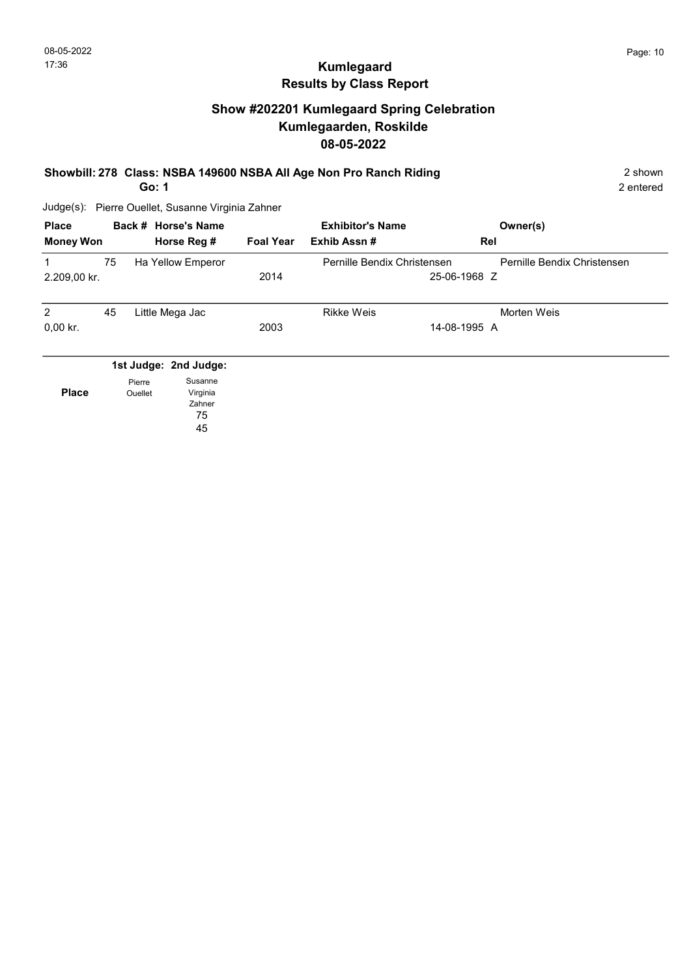## Show #202201 Kumlegaard Spring Celebration Kumlegaarden, Roskilde 08-05-2022

#### Showbill: 278 Class: NSBA 149600 NSBA All Age Non Pro Ranch Riding 2 Shown 2 shown

2 entered

Judge(s): Pierre Ouellet, Susanne Virginia Zahner

45

Go: 1

| <b>Place</b><br><b>Money Won</b> |    |                | Back # Horse's Name<br>Horse Reg # | <b>Foal Year</b> | <b>Exhibitor's Name</b><br>Exhib Assn# | Owner(s)<br>Rel             |
|----------------------------------|----|----------------|------------------------------------|------------------|----------------------------------------|-----------------------------|
| 1                                | 75 |                | Ha Yellow Emperor                  |                  | Pernille Bendix Christensen            | Pernille Bendix Christensen |
| 2.209,00 kr.                     |    |                |                                    | 2014             |                                        | 25-06-1968 Z                |
| $\overline{2}$                   | 45 |                | Little Mega Jac                    |                  | <b>Rikke Weis</b>                      | Morten Weis                 |
| $0,00$ kr.                       |    |                |                                    | 2003             |                                        | 14-08-1995 A                |
|                                  |    |                | 1st Judge: 2nd Judge:              |                  |                                        |                             |
|                                  |    | Pierre         | Susanne                            |                  |                                        |                             |
| <b>Place</b>                     |    | <b>Ouellet</b> | Virginia<br>Zahner                 |                  |                                        |                             |
|                                  |    |                | 75                                 |                  |                                        |                             |